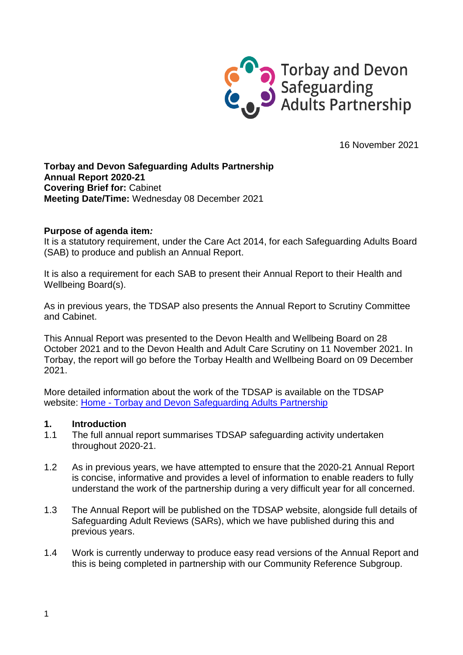

16 November 2021

### **Torbay and Devon Safeguarding Adults Partnership Annual Report 2020-21 Covering Brief for:** Cabinet **Meeting Date/Time:** Wednesday 08 December 2021

### **Purpose of agenda item***:*

It is a statutory requirement, under the Care Act 2014, for each Safeguarding Adults Board (SAB) to produce and publish an Annual Report.

It is also a requirement for each SAB to present their Annual Report to their Health and Wellbeing Board(s).

As in previous years, the TDSAP also presents the Annual Report to Scrutiny Committee and Cabinet.

This Annual Report was presented to the Devon Health and Wellbeing Board on 28 October 2021 and to the Devon Health and Adult Care Scrutiny on 11 November 2021. In Torbay, the report will go before the Torbay Health and Wellbeing Board on 09 December 2021.

More detailed information about the work of the TDSAP is available on the TDSAP website: Home - [Torbay and Devon Safeguarding Adults Partnership](https://www.devonsafeguardingadultspartnership.org.uk/)

#### **1. Introduction**

- 1.1 The full annual report summarises TDSAP safeguarding activity undertaken throughout 2020-21.
- 1.2 As in previous years, we have attempted to ensure that the 2020-21 Annual Report is concise, informative and provides a level of information to enable readers to fully understand the work of the partnership during a very difficult year for all concerned.
- 1.3 The Annual Report will be published on the TDSAP website, alongside full details of Safeguarding Adult Reviews (SARs), which we have published during this and previous years.
- 1.4 Work is currently underway to produce easy read versions of the Annual Report and this is being completed in partnership with our Community Reference Subgroup.